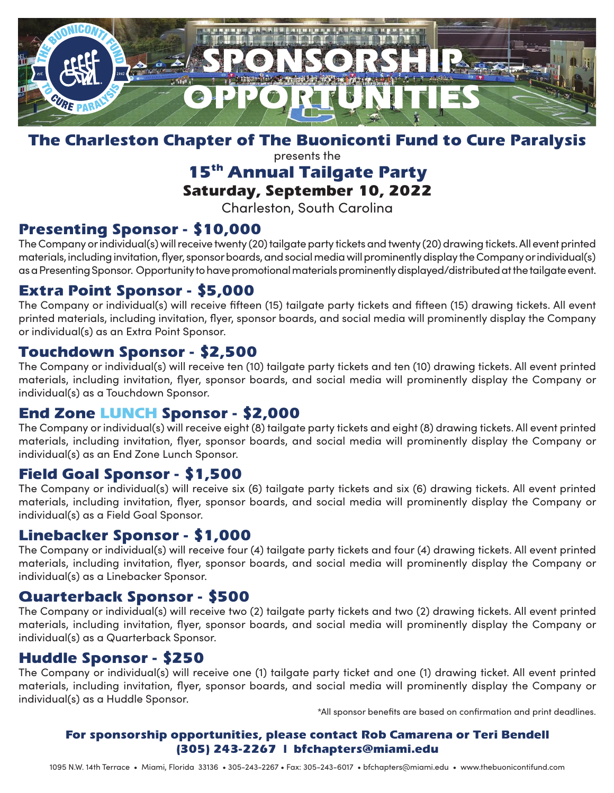

#### The Charleston Chapter of The Buoniconti Fund to Cure Paralysis

presents the

## 15<sup>th</sup> Annual Tailgate Party

#### Saturday, September 10, 2022

Charleston, South Carolina

### Presenting Sponsor - \$10,000

The Company or individual(s) will receive twenty (20) tailgate party tickets and twenty (20) drawing tickets. All event printed materials, including invitation, flyer, sponsor boards, and social media will prominently display the Company or individual(s) as a Presenting Sponsor. Opportunity to have promotional materials prominently displayed/distributed at the tailgate event.

#### Extra Point Sponsor - \$5,000

The Company or individual(s) will receive fifteen (15) tailgate party tickets and fifteen (15) drawing tickets. All event printed materials, including invitation, flyer, sponsor boards, and social media will prominently display the Company or individual(s) as an Extra Point Sponsor.

#### Touchdown Sponsor - \$2,500

The Company or individual(s) will receive ten (10) tailgate party tickets and ten (10) drawing tickets. All event printed materials, including invitation, flyer, sponsor boards, and social media will prominently display the Company or individual(s) as a Touchdown Sponsor.

#### End Zone LUNCH Sponsor - \$2,000

The Company or individual(s) will receive eight (8) tailgate party tickets and eight (8) drawing tickets. All event printed materials, including invitation, flyer, sponsor boards, and social media will prominently display the Company or individual(s) as an End Zone Lunch Sponsor.

#### Field Goal Sponsor - \$1,500

The Company or individual(s) will receive six (6) tailgate party tickets and six (6) drawing tickets. All event printed materials, including invitation, flyer, sponsor boards, and social media will prominently display the Company or individual(s) as a Field Goal Sponsor.

#### Linebacker Sponsor - \$1,000

The Company or individual(s) will receive four (4) tailgate party tickets and four (4) drawing tickets. All event printed materials, including invitation, flyer, sponsor boards, and social media will prominently display the Company or individual(s) as a Linebacker Sponsor.

#### Quarterback Sponsor - \$500

The Company or individual(s) will receive two (2) tailgate party tickets and two (2) drawing tickets. All event printed materials, including invitation, flyer, sponsor boards, and social media will prominently display the Company or individual(s) as a Quarterback Sponsor.

#### Huddle Sponsor - \$250

The Company or individual(s) will receive one (1) tailgate party ticket and one (1) drawing ticket. All event printed materials, including invitation, flyer, sponsor boards, and social media will prominently display the Company or individual(s) as a Huddle Sponsor.

\*All sponsor benefits are based on confirmation and print deadlines.

#### For sponsorship opportunities, please contact Rob Camarena or Teri Bendell (305) 243-2267 | bfchapters@miami.edu